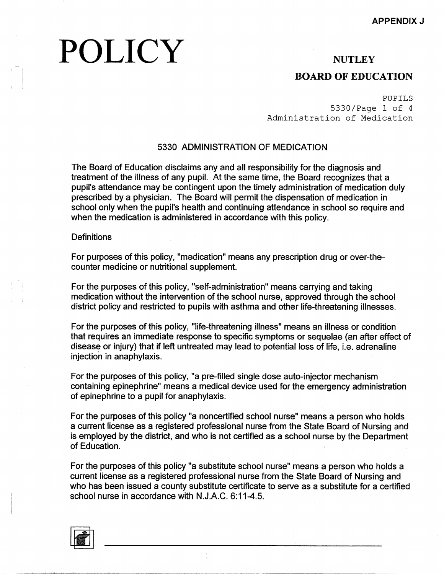# POLICY

### **NUTLEY**

### **BOARD OF EDUCATION**

PUPILS 5330/Page 1 of 4 Administration of Medication

#### 5330 ADMINISTRATION OF MEDICATION

The Board of Education disclaims any and all responsibility for the diagnosis and treatment of the illness of any pupil. At the same time, the Board recognizes that a pupil's attendance may be contingent upon the timely administration of medication duly prescribed by a physician. The Board will permit the dispensation of medication in school only when the pupil's health and continuing attendance in school so require and when the medication is administered in accordance with this policy.

#### **Definitions**

For purposes of this policy, "medication" means any prescription drug or over-thecounter medicine or nutritional supplement.

For the purposes of this policy, "self-administration" means carrying and taking medication without the intervention of the school nurse, approved through the school district policy and restricted to pupils with asthma and other life-threatening illnesses.

For the purposes of this policy, "life-threatening illness" means an illness or condition that requires an immediate response to specific symptoms or sequelae (an after effect of disease or injury) that if left untreated may lead to potential loss of life, i.e. adrenaline injection in anaphylaxis.

For the purposes of this policy, "a pre-filled single dose auto-injector mechanism containing epinephrine" means a medical device used for the emergency administration of epinephrine to a pupil for anaphylaxis.

For the purposes of this policy "a noncertified school nurse" means a person who holds a current license as a registered professional nurse from the State Board of Nursing and is employed by the district, and who is not certified as a school nurse by the Department of Education.

For the purposes of this policy "a substitute school nurse" means a person who holds a current license as a registered professional nurse from the State Board of Nursing and who has been issued a county substitute certificate to serve as a substitute for a certified school nurse in accordance with N.J.A.C. 6:11-4.5.

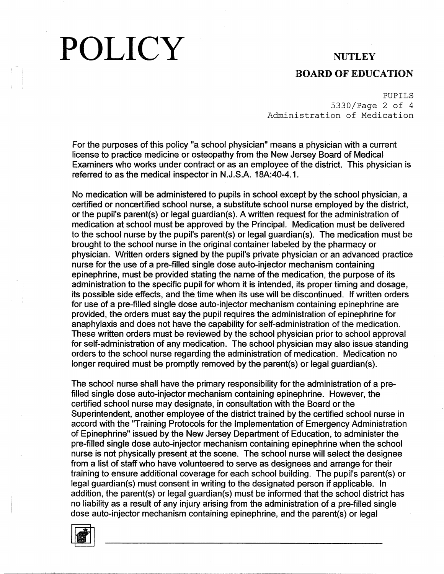# POLICY NUTLEY

#### **BOARD OF EDUCATION**

PUPILS 5330/Page 2 of 4 Administration of Medication

For the purposes of this policy "a school physician" means a physician with a current license to practice medicine or osteopathy from the New Jersey Board of Medical Examiners who works under contract or as an employee of the district. This physician is referred to as the medical inspector in N.J.S.A. 18A:40-4.1.

No medication will be administered to pupils in school except by the school physician, a certified or noncertified school nurse, a substitute school nurse employed by the district, or the pupil's parent(s) or legal guardian(s). A written request for the administration of medication at school must be approved by the Principal. Medication must be delivered to the school nurse by the pupil's parent(s) or legal guardian(s). The medication must be brought to the school nurse in the original container labeled by the pharmacy or physician. Written orders signed by the pupil's private physician or an advanced practice nurse for the use of a pre-filled single dose auto-injector mechanism containing epinephrine, must be provided stating the name of the medication, the purpose of its administration to the specific pupil for whom it is intended, its proper timing and dosage, its possible side effects, and the time when its use will be discontinued. If written orders for use of a pre-filled single dose auto-injector mechanism containing epinephrine are provided, the orders must say the pupil requires the administration of epinephrine for anaphylaxis and does not have the capability for self-administration of the medication. These written orders must be reviewed by the school physician prior to school approval for self-administration of any medication. The school physician may also issue standing orders to the school nurse regarding the administration of medication. Medication no longer required must be promptly removed by the parent(s) or legal guardian(s).

The school nurse shall have the primary responsibility for the administration of a prefilled single dose auto-injector mechanism containing epinephrine. However, the certified school nurse may designate, in consultation with the Board or the Superintendent, another employee of the district trained by the certified school nurse in accord with the ''Training Protocols for the Implementation of Emergency Administration of Epinephrine" issued by the New Jersey Department of Education, to administer the pre-filled single dose auto-injector mechanism containing epinephrine when the school nurse is not physically present at the scene. The school nurse will select the designee from a list of staff who have volunteered to serve as designees and arrange for their training to ensure additional coverage for each school building. The pupil's parent(s) or legal guardian(s) must consent in writing to the designated person if applicable. In addition, the parent(s) or legal guardian(s) must be informed that the school district has no liability as a result of any injury arising from the administration of a pre-filled single dose auto-injector mechanism containing epinephrine, and the parent(s) or legal

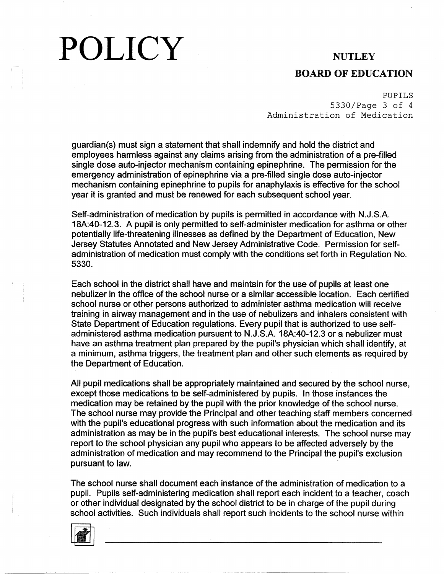# POLICY NUTLEY

### **BOARD OF EDUCATION**

PUPILS 5330/Page 3 of 4 Administration of Medication

guardian(s) must sign a statement that shall indemnify and hold the district and employees harmless against any claims arising from the administration of a pre-filled single dose auto-injector mechanism containing epinephrine. The permission for the emergency administration of epinephrine via a pre-filled single dose auto-injector mechanism containing epinephrine to pupils for anaphylaxis is effective for the school year it is granted and must be renewed for each subsequent school year.

Self-administration of medication by pupils is permitted in accordance with N.J.S.A. 18A:40-12.3. A pupil is only permitted to self-administer medication for asthma or other potentially life-threatening illnesses as defined by the Department of Education, New Jersey Statutes Annotated and New Jersey Administrative Code. Permission for selfadministration of medication must comply with the conditions set forth in Regulation No. 5330.

Each school in the district shall have and maintain for the use of pupils at least one nebulizer in the office of the school nurse or a similar accessible location. Each certified school nurse or other persons authorized to administer asthma medication will receive training in airway management and in the use of nebulizers and inhalers consistent with State Department of Education regulations. Every pupil that is authorized to use selfadministered asthma medication pursuant to N.J.S.A. 18A:40-12.3 or a nebulizer must have an asthma treatment plan prepared by the pupil's physician which shall identify, at a minimum, asthma triggers, the treatment plan and other such elements as required by the Department of Education.

All pupil medications shall be appropriately maintained and secured by the school nurse, except those medications to be self-administered by pupils. In those instances the medication may be retained by the pupil with the prior knowledge of the school nurse. The school nurse may provide the Principal and other teaching staff members concerned with the pupil's educational progress with such information about the medication and its administration as may be in the pupil's best educational interests. The school nurse may report to the school physician any pupil who appears to be affected adversely by the administration of medication and may recommend to the Principal the pupil's exclusion pursuant to law.

The school nurse shall document each instance of the administration of medication to a pupil. Pupils self-administering medication shall report each incident to a teacher, coach or other individual designated by the school district to be in charge of the pupil during school activities. Such individuals shall report such incidents to the school nurse within